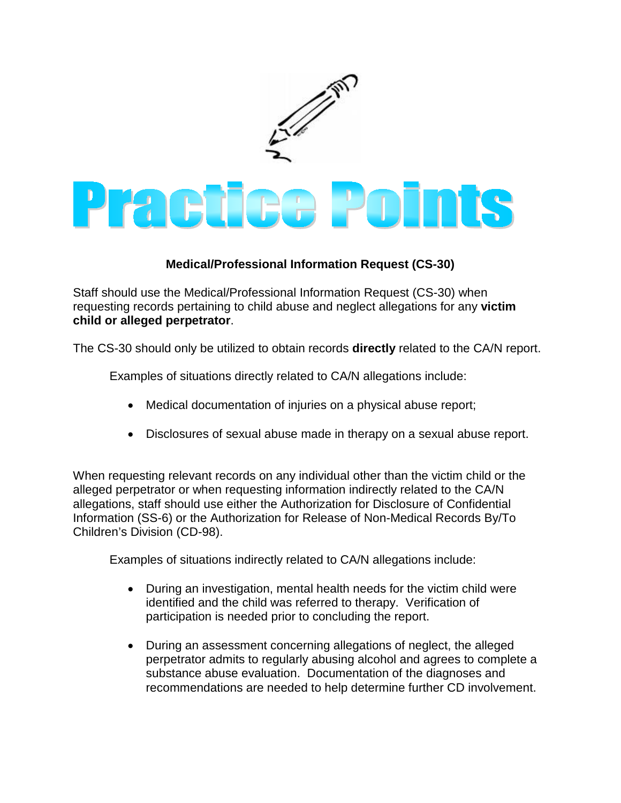

## **Medical/Professional Information Request (CS-30)**

Staff should use the Medical/Professional Information Request (CS-30) when requesting records pertaining to child abuse and neglect allegations for any **victim child or alleged perpetrator**.

The CS-30 should only be utilized to obtain records **directly** related to the CA/N report.

Examples of situations directly related to CA/N allegations include:

- Medical documentation of injuries on a physical abuse report;
- Disclosures of sexual abuse made in therapy on a sexual abuse report.

When requesting relevant records on any individual other than the victim child or the alleged perpetrator or when requesting information indirectly related to the CA/N allegations, staff should use either the Authorization for Disclosure of Confidential Information (SS-6) or the Authorization for Release of Non-Medical Records By/To Children's Division (CD-98).

Examples of situations indirectly related to CA/N allegations include:

- During an investigation, mental health needs for the victim child were identified and the child was referred to therapy. Verification of participation is needed prior to concluding the report.
- During an assessment concerning allegations of neglect, the alleged perpetrator admits to regularly abusing alcohol and agrees to complete a substance abuse evaluation. Documentation of the diagnoses and recommendations are needed to help determine further CD involvement.